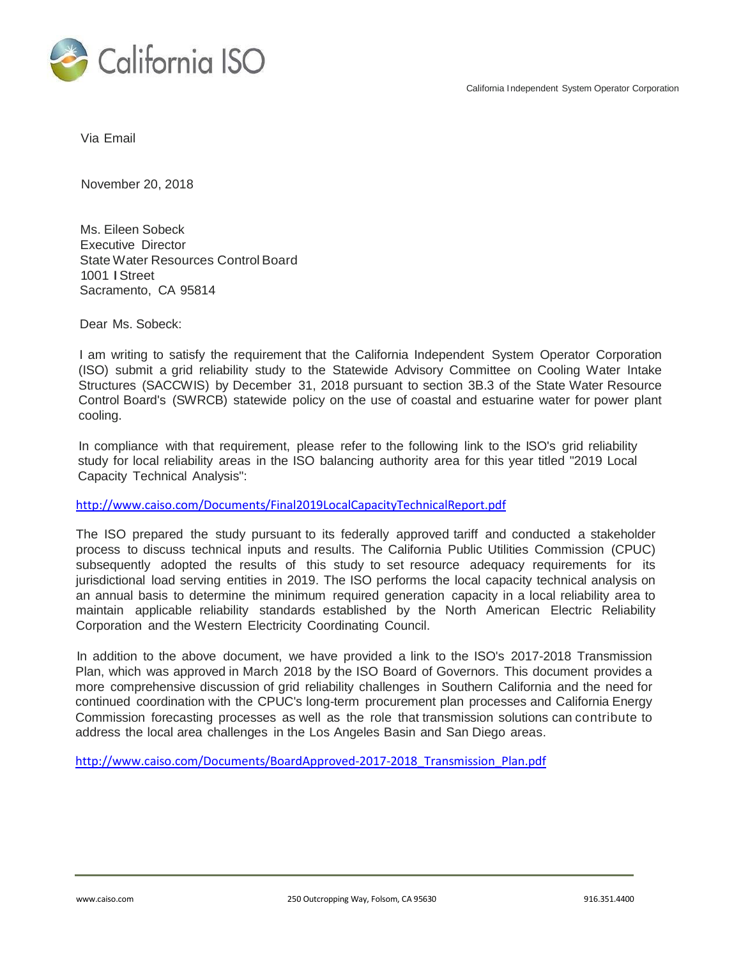

Via Email

November 20, 2018

Ms. Eileen Sobeck Executive Director State Water Resources Control Board 1001 IStreet Sacramento, CA 95814

Dear Ms. Sobeck:

I am writing to satisfy the requirement that the California Independent System Operator Corporation (ISO) submit a grid reliability study to the Statewide Advisory Committee on Cooling Water Intake Structures (SACCWIS) by December 31, 2018 pursuant to section 3B.3 of the State Water Resource Control Board's (SWRCB) statewide policy on the use of coastal and estuarine water for power plant cooling.

In compliance with that requirement, please refer to the following link to the ISO's grid reliability study for local reliability areas in the ISO balancing authority area for this year titled "2019 Local Capacity Technical Analysis":

<http://www.caiso.com/Documents/Final2019LocalCapacityTechnicalReport.pdf>

The ISO prepared the study pursuant to its federally approved tariff and conducted a stakeholder process to discuss technical inputs and results. The California Public Utilities Commission (CPUC) subsequently adopted the results of this study to set resource adequacy requirements for its jurisdictional load serving entities in 2019. The ISO performs the local capacity technical analysis on an annual basis to determine the minimum required generation capacity in a local reliability area to maintain applicable reliability standards established by the North American Electric Reliability Corporation and the Western Electricity Coordinating Council.

In addition to the above document, we have provided a link to the ISO's 2017-2018 Transmission Plan, which was approved in March 2018 by the ISO Board of Governors. This document provides a more comprehensive discussion of grid reliability challenges in Southern California and the need for continued coordination with the CPUC's long-term procurement plan processes and California Energy Commission forecasting processes as well as the role that transmission solutions can contribute to address the local area challenges in the Los Angeles Basin and San Diego areas.

http://www.caiso.com/Documents/BoardApproved-2017-2018\_Transmission\_Plan.pdf